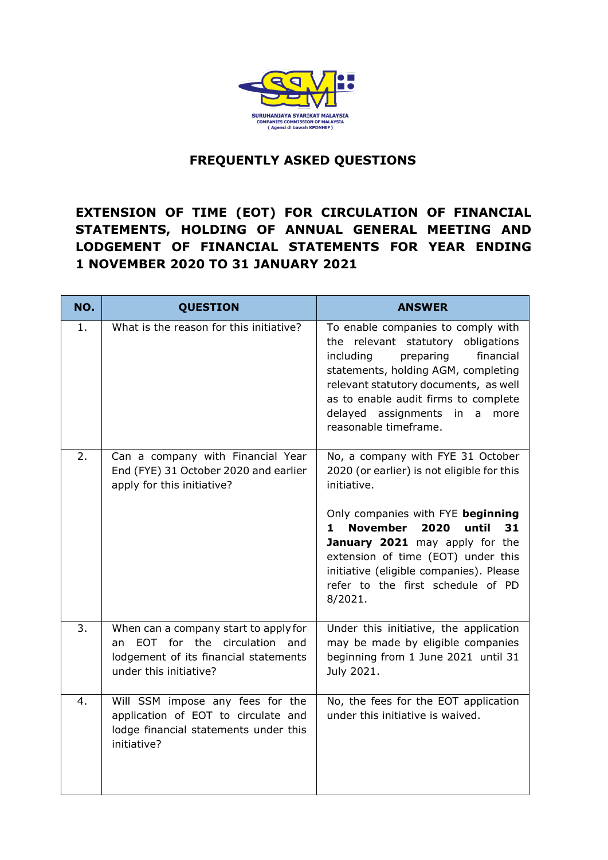

## **FREQUENTLY ASKED QUESTIONS**

# **EXTENSION OF TIME (EOT) FOR CIRCULATION OF FINANCIAL STATEMENTS, HOLDING OF ANNUAL GENERAL MEETING AND LODGEMENT OF FINANCIAL STATEMENTS FOR YEAR ENDING 1 NOVEMBER 2020 TO 31 JANUARY 2021**

| NO. | <b>QUESTION</b>                                                                                                                               | <b>ANSWER</b>                                                                                                                                                                                                                                                                                                                                                   |
|-----|-----------------------------------------------------------------------------------------------------------------------------------------------|-----------------------------------------------------------------------------------------------------------------------------------------------------------------------------------------------------------------------------------------------------------------------------------------------------------------------------------------------------------------|
| 1.  | What is the reason for this initiative?                                                                                                       | To enable companies to comply with<br>the relevant statutory obligations<br>including<br>preparing<br>financial<br>statements, holding AGM, completing<br>relevant statutory documents, as well<br>as to enable audit firms to complete<br>delayed assignments in a<br>more<br>reasonable timeframe.                                                            |
| 2.  | Can a company with Financial Year<br>End (FYE) 31 October 2020 and earlier<br>apply for this initiative?                                      | No, a company with FYE 31 October<br>2020 (or earlier) is not eligible for this<br>initiative.<br>Only companies with FYE beginning<br><b>November</b><br>until<br>2020<br>31<br>$\mathbf 1$<br>January 2021 may apply for the<br>extension of time (EOT) under this<br>initiative (eligible companies). Please<br>refer to the first schedule of PD<br>8/2021. |
| 3.  | When can a company start to apply for<br>EOT for the circulation and<br>an<br>lodgement of its financial statements<br>under this initiative? | Under this initiative, the application<br>may be made by eligible companies<br>beginning from 1 June 2021 until 31<br>July 2021.                                                                                                                                                                                                                                |
| 4.  | Will SSM impose any fees for the<br>application of EOT to circulate and<br>lodge financial statements under this<br>initiative?               | No, the fees for the EOT application<br>under this initiative is waived.                                                                                                                                                                                                                                                                                        |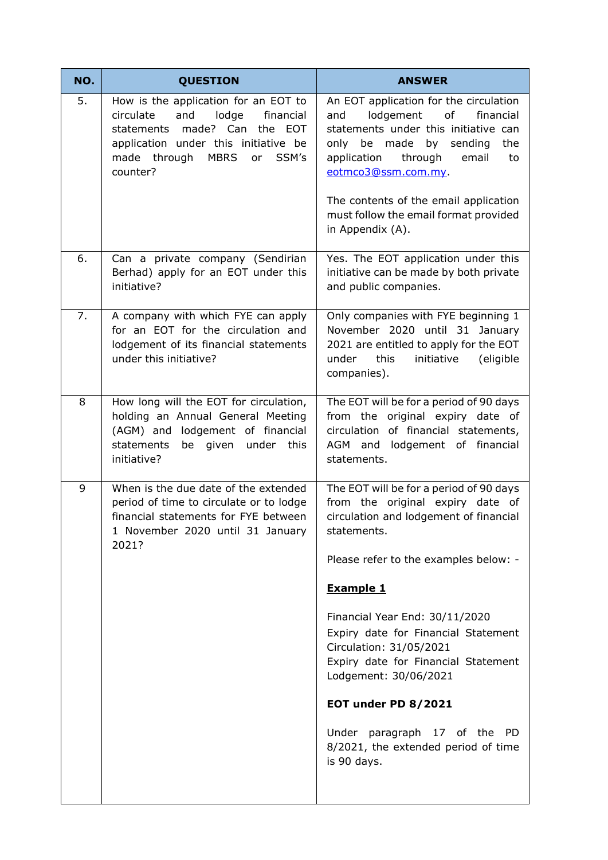| NO. | <b>QUESTION</b>                                                                                                                                                                                                     | <b>ANSWER</b>                                                                                                                                                                                                           |
|-----|---------------------------------------------------------------------------------------------------------------------------------------------------------------------------------------------------------------------|-------------------------------------------------------------------------------------------------------------------------------------------------------------------------------------------------------------------------|
| 5.  | How is the application for an EOT to<br>and<br>lodge<br>circulate<br>financial<br>made? Can the EOT<br>statements<br>application under this initiative be<br>made through<br><b>MBRS</b><br>SSM's<br>or<br>counter? | An EOT application for the circulation<br>lodgement<br>of<br>financial<br>and<br>statements under this initiative can<br>only be made by sending<br>the<br>through<br>application<br>email<br>to<br>eotmco3@ssm.com.my. |
|     |                                                                                                                                                                                                                     | The contents of the email application<br>must follow the email format provided<br>in Appendix (A).                                                                                                                      |
| 6.  | Can a private company (Sendirian<br>Berhad) apply for an EOT under this<br>initiative?                                                                                                                              | Yes. The EOT application under this<br>initiative can be made by both private<br>and public companies.                                                                                                                  |
| 7.  | A company with which FYE can apply<br>for an EOT for the circulation and<br>lodgement of its financial statements<br>under this initiative?                                                                         | Only companies with FYE beginning 1<br>November 2020 until 31 January<br>2021 are entitled to apply for the EOT<br>under<br>this<br>initiative<br>(eligible<br>companies).                                              |
| 8   | How long will the EOT for circulation,<br>holding an Annual General Meeting<br>(AGM) and lodgement of financial<br>statements<br>be given under<br>this<br>initiative?                                              | The EOT will be for a period of 90 days<br>from the original expiry date of<br>circulation of financial statements,<br>AGM and lodgement of financial<br>statements.                                                    |
| 9   | When is the due date of the extended<br>period of time to circulate or to lodge<br>financial statements for FYE between<br>1 November 2020 until 31 January<br>2021?                                                | The EOT will be for a period of 90 days<br>from the original expiry date of<br>circulation and lodgement of financial<br>statements.                                                                                    |
|     |                                                                                                                                                                                                                     | Please refer to the examples below: -                                                                                                                                                                                   |
|     |                                                                                                                                                                                                                     | <b>Example 1</b>                                                                                                                                                                                                        |
|     |                                                                                                                                                                                                                     | Financial Year End: 30/11/2020<br>Expiry date for Financial Statement<br>Circulation: 31/05/2021<br>Expiry date for Financial Statement<br>Lodgement: 30/06/2021                                                        |
|     |                                                                                                                                                                                                                     | EOT under PD 8/2021                                                                                                                                                                                                     |
|     |                                                                                                                                                                                                                     | Under paragraph 17 of the PD<br>8/2021, the extended period of time<br>is 90 days.                                                                                                                                      |
|     |                                                                                                                                                                                                                     |                                                                                                                                                                                                                         |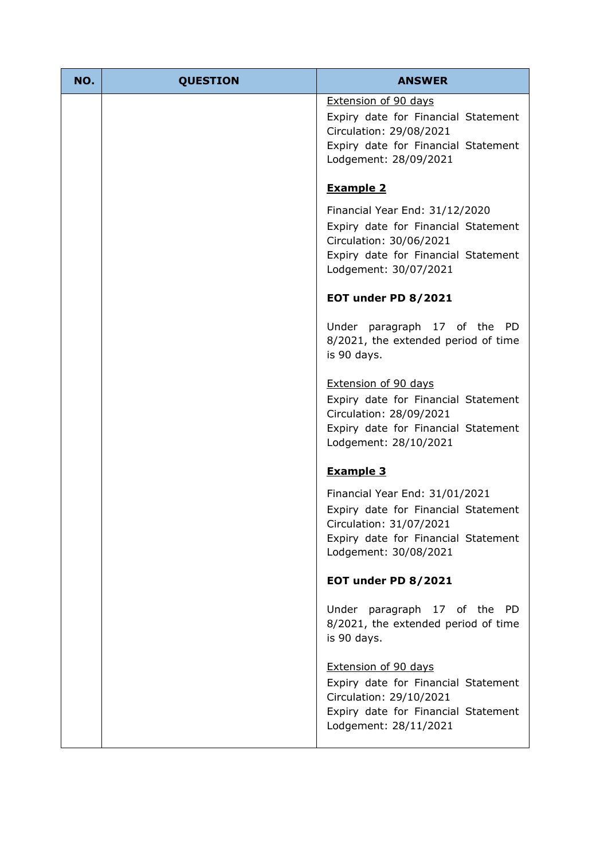| NO. | <b>QUESTION</b> | <b>ANSWER</b>                                                                                                                                                    |
|-----|-----------------|------------------------------------------------------------------------------------------------------------------------------------------------------------------|
|     |                 | <b>Extension of 90 days</b><br>Expiry date for Financial Statement<br>Circulation: 29/08/2021<br>Expiry date for Financial Statement<br>Lodgement: 28/09/2021    |
|     |                 | <b>Example 2</b>                                                                                                                                                 |
|     |                 | Financial Year End: 31/12/2020<br>Expiry date for Financial Statement<br>Circulation: 30/06/2021<br>Expiry date for Financial Statement<br>Lodgement: 30/07/2021 |
|     |                 | <b>EOT under PD 8/2021</b>                                                                                                                                       |
|     |                 | Under paragraph 17 of the<br>PD.<br>8/2021, the extended period of time<br>is 90 days.                                                                           |
|     |                 | Extension of 90 days<br>Expiry date for Financial Statement<br>Circulation: 28/09/2021<br>Expiry date for Financial Statement<br>Lodgement: 28/10/2021           |
|     |                 | <b>Example 3</b>                                                                                                                                                 |
|     |                 | Financial Year End: 31/01/2021<br>Expiry date for Financial Statement<br>Circulation: 31/07/2021<br>Expiry date for Financial Statement<br>Lodgement: 30/08/2021 |
|     |                 | <b>EOT under PD 8/2021</b>                                                                                                                                       |
|     |                 | Under paragraph 17 of the PD<br>8/2021, the extended period of time<br>is 90 days.                                                                               |
|     |                 | Extension of 90 days<br>Expiry date for Financial Statement<br>Circulation: 29/10/2021<br>Expiry date for Financial Statement<br>Lodgement: 28/11/2021           |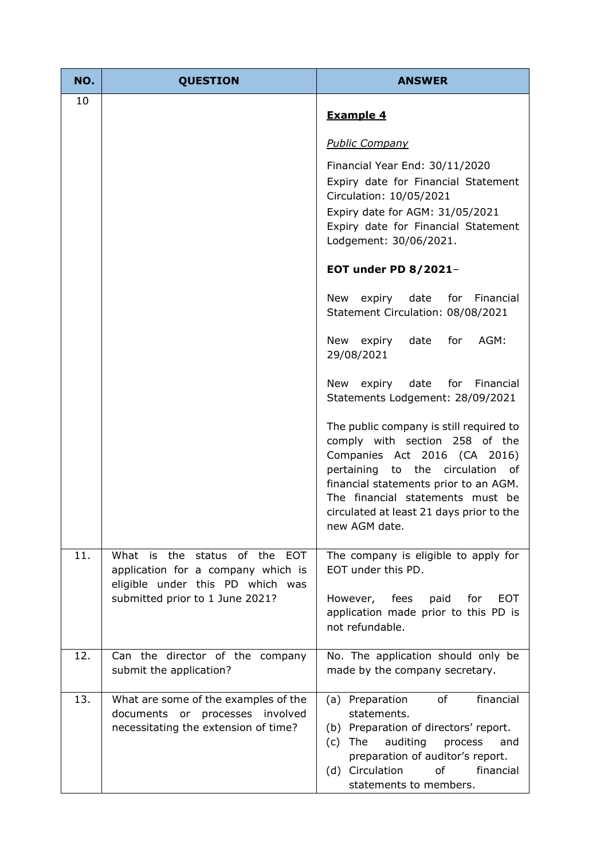| NO. | <b>QUESTION</b>                                                                                                    | <b>ANSWER</b>                                                                                                                                                                                                                                                                           |
|-----|--------------------------------------------------------------------------------------------------------------------|-----------------------------------------------------------------------------------------------------------------------------------------------------------------------------------------------------------------------------------------------------------------------------------------|
| 10  |                                                                                                                    | <b>Example 4</b>                                                                                                                                                                                                                                                                        |
|     |                                                                                                                    | <b>Public Company</b>                                                                                                                                                                                                                                                                   |
|     |                                                                                                                    | Financial Year End: 30/11/2020<br>Expiry date for Financial Statement<br>Circulation: 10/05/2021<br>Expiry date for AGM: 31/05/2021<br>Expiry date for Financial Statement<br>Lodgement: 30/06/2021.                                                                                    |
|     |                                                                                                                    | <b>EOT under PD 8/2021-</b>                                                                                                                                                                                                                                                             |
|     |                                                                                                                    | expiry date<br>for Financial<br>New<br>Statement Circulation: 08/08/2021                                                                                                                                                                                                                |
|     |                                                                                                                    | expiry<br>date<br>for<br>AGM:<br>New<br>29/08/2021                                                                                                                                                                                                                                      |
|     |                                                                                                                    | expiry date<br>for<br>New<br>Financial<br>Statements Lodgement: 28/09/2021                                                                                                                                                                                                              |
|     |                                                                                                                    | The public company is still required to<br>comply with section 258 of the<br>Companies Act 2016 (CA 2016)<br>pertaining to the circulation of<br>financial statements prior to an AGM.<br>The financial statements must be<br>circulated at least 21 days prior to the<br>new AGM date. |
| 11. | What is the<br>status of the EOT<br>application for a company which is                                             | The company is eligible to apply for<br>EOT under this PD.                                                                                                                                                                                                                              |
|     | eligible under this PD which was<br>submitted prior to 1 June 2021?                                                | <b>EOT</b><br>However, fees<br>paid<br>for<br>application made prior to this PD is<br>not refundable.                                                                                                                                                                                   |
| 12. | Can the director of the company<br>submit the application?                                                         | No. The application should only be<br>made by the company secretary.                                                                                                                                                                                                                    |
| 13. | What are some of the examples of the<br>involved<br>documents or processes<br>necessitating the extension of time? | (a) Preparation<br>of<br>financial<br>statements.<br>(b) Preparation of directors' report.<br>auditing<br>The<br>process<br>and<br>(c)<br>preparation of auditor's report.<br>(d) Circulation<br>of<br>financial<br>statements to members.                                              |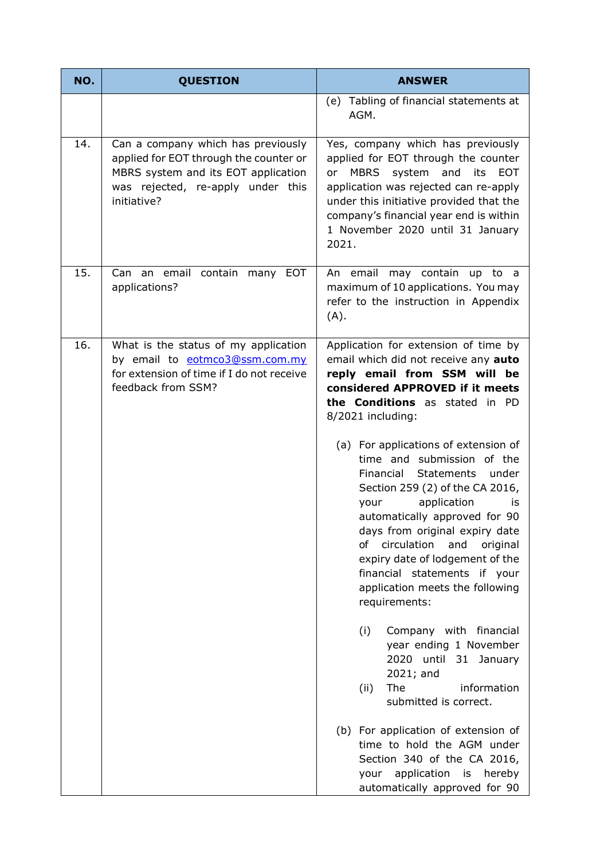| NO. | <b>QUESTION</b>                                                                                                                                                         | <b>ANSWER</b>                                                                                                                                                                                                                                                                                                                                                                                                   |
|-----|-------------------------------------------------------------------------------------------------------------------------------------------------------------------------|-----------------------------------------------------------------------------------------------------------------------------------------------------------------------------------------------------------------------------------------------------------------------------------------------------------------------------------------------------------------------------------------------------------------|
|     |                                                                                                                                                                         | (e) Tabling of financial statements at<br>AGM.                                                                                                                                                                                                                                                                                                                                                                  |
| 14. | Can a company which has previously<br>applied for EOT through the counter or<br>MBRS system and its EOT application<br>was rejected, re-apply under this<br>initiative? | Yes, company which has previously<br>applied for EOT through the counter<br>MBRS system and its EOT<br>or<br>application was rejected can re-apply<br>under this initiative provided that the<br>company's financial year end is within<br>1 November 2020 until 31 January<br>2021.                                                                                                                            |
| 15. | Can an email contain many EOT<br>applications?                                                                                                                          | An email may contain up to a<br>maximum of 10 applications. You may<br>refer to the instruction in Appendix<br>(A).                                                                                                                                                                                                                                                                                             |
| 16. | What is the status of my application<br>by email to eotmco3@ssm.com.my<br>for extension of time if I do not receive<br>feedback from SSM?                               | Application for extension of time by<br>email which did not receive any auto<br>reply email from SSM will be<br>considered APPROVED if it meets<br>the Conditions as stated in PD<br>8/2021 including:                                                                                                                                                                                                          |
|     |                                                                                                                                                                         | (a) For applications of extension of<br>time and submission of the<br><b>Statements</b><br>Financial<br>under<br>Section 259 (2) of the CA 2016,<br>application<br>your<br>is<br>automatically approved for 90<br>days from original expiry date<br>circulation<br>and<br>of<br>original<br>expiry date of lodgement of the<br>financial statements if your<br>application meets the following<br>requirements: |
|     |                                                                                                                                                                         | (i)<br>Company with financial<br>year ending 1 November<br>2020 until 31 January<br>$2021;$ and<br>information<br><b>The</b><br>(ii)<br>submitted is correct.                                                                                                                                                                                                                                                   |
|     |                                                                                                                                                                         | (b) For application of extension of<br>time to hold the AGM under<br>Section 340 of the CA 2016,<br>application is<br>hereby<br>your<br>automatically approved for 90                                                                                                                                                                                                                                           |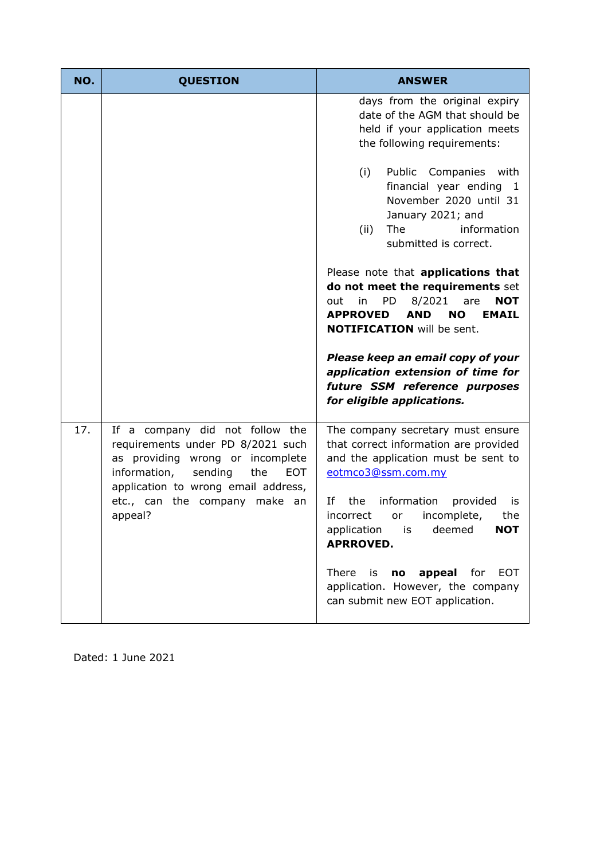| NO. | <b>QUESTION</b>                                                                                                                                                                                                                             | <b>ANSWER</b>                                                                                                                                                                                                                                                                                                                                                                    |
|-----|---------------------------------------------------------------------------------------------------------------------------------------------------------------------------------------------------------------------------------------------|----------------------------------------------------------------------------------------------------------------------------------------------------------------------------------------------------------------------------------------------------------------------------------------------------------------------------------------------------------------------------------|
|     |                                                                                                                                                                                                                                             | days from the original expiry<br>date of the AGM that should be<br>held if your application meets<br>the following requirements:<br>(i)<br>Public Companies with<br>financial year ending<br>- 1<br>November 2020 until 31<br>January 2021; and<br>information<br>(ii)<br>The<br>submitted is correct.<br>Please note that applications that<br>do not meet the requirements set |
|     |                                                                                                                                                                                                                                             | <b>PD</b><br>8/2021<br>in<br><b>NOT</b><br>out<br>are<br><b>APPROVED</b><br><b>AND</b><br><b>NO</b><br><b>EMAIL</b><br><b>NOTIFICATION</b> will be sent.<br>Please keep an email copy of your<br>application extension of time for<br>future SSM reference purposes<br>for eligible applications.                                                                                |
| 17. | If a company did not follow the<br>requirements under PD 8/2021 such<br>as providing wrong or incomplete<br>information,<br>sending<br>the<br><b>EOT</b><br>application to wrong email address,<br>etc., can the company make an<br>appeal? | The company secretary must ensure<br>that correct information are provided<br>and the application must be sent to<br>eotmco3@ssm.com.my<br>Ιf<br>information<br>the<br>provided<br>is<br>incomplete,<br>the<br>incorrect<br>or<br>application<br>deemed<br><b>NOT</b><br>IS<br><b>APRROVED.</b>                                                                                  |
|     |                                                                                                                                                                                                                                             | appeal<br>There<br>for<br><b>EOT</b><br>is<br>no<br>application. However, the company<br>can submit new EOT application.                                                                                                                                                                                                                                                         |

Dated: 1 June 2021